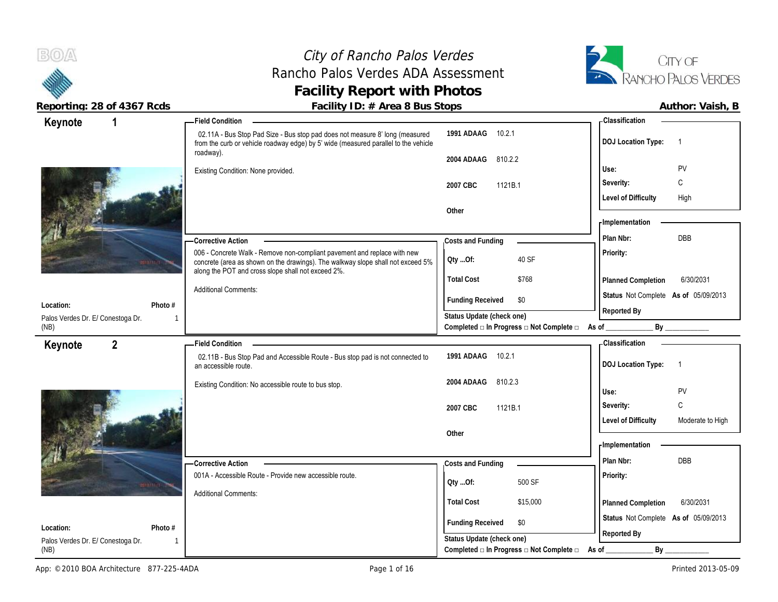### City of Rancho Palos Verdes Rancho Palos Verdes ADA Assessment **Facility Report with Photos**



| Keynote                                   | 1            | <b>Field Condition</b>                                                                                                                                              |                                                | - Classification                               |
|-------------------------------------------|--------------|---------------------------------------------------------------------------------------------------------------------------------------------------------------------|------------------------------------------------|------------------------------------------------|
|                                           |              | 02.11A - Bus Stop Pad Size - Bus stop pad does not measure 8' long (measured<br>from the curb or vehicle roadway edge) by 5' wide (measured parallel to the vehicle | 1991 ADAAG<br>10.2.1                           | <b>DOJ</b> Location Type:<br>$\overline{1}$    |
|                                           |              | roadway).                                                                                                                                                           | 2004 ADAAG<br>810.2.2                          |                                                |
|                                           |              | Existing Condition: None provided.                                                                                                                                  |                                                | Use:<br>PV                                     |
|                                           |              |                                                                                                                                                                     | 2007 CBC<br>1121B.1                            | C<br>Severity:                                 |
|                                           |              |                                                                                                                                                                     |                                                | <b>Level of Difficulty</b><br>High             |
|                                           |              |                                                                                                                                                                     | Other                                          | - Implementation                               |
|                                           |              | - Corrective Action                                                                                                                                                 | Costs and Funding                              | <b>DBB</b><br>Plan Nbr:                        |
|                                           |              | 006 - Concrete Walk - Remove non-compliant pavement and replace with new                                                                                            |                                                | Priority:                                      |
|                                           |              | concrete (area as shown on the drawings). The walkway slope shall not exceed 5%<br>along the POT and cross slope shall not exceed 2%.                               | 40 SF<br>QtyOf:                                |                                                |
|                                           |              |                                                                                                                                                                     | <b>Total Cost</b><br>\$768                     | 6/30/2031<br>Planned Completion                |
|                                           |              | <b>Additional Comments:</b>                                                                                                                                         | <b>Funding Received</b><br>\$0                 | Status Not Complete As of 05/09/2013           |
| Location:                                 | Photo #      |                                                                                                                                                                     | Status Update (check one)                      | Reported By                                    |
| Palos Verdes Dr. E/ Conestoga Dr.<br>(NB) | $\mathbf{1}$ |                                                                                                                                                                     | Completed □ In Progress □ Not Complete □ As of | By                                             |
| Keynote                                   | $2^{\circ}$  | <b>Field Condition</b>                                                                                                                                              |                                                | - Classification                               |
|                                           |              | 02.11B - Bus Stop Pad and Accessible Route - Bus stop pad is not connected to<br>an accessible route.                                                               | 10.2.1<br>1991 ADAAG                           | <b>DOJ</b> Location Type:<br>$\overline{1}$    |
|                                           |              | Existing Condition: No accessible route to bus stop.                                                                                                                | 810.2.3<br>2004 ADAAG                          | PV<br>Use:                                     |
|                                           |              |                                                                                                                                                                     | 2007 CBC<br>1121B.1                            | C<br>Severity:                                 |
|                                           |              |                                                                                                                                                                     |                                                | <b>Level of Difficulty</b><br>Moderate to High |
|                                           |              |                                                                                                                                                                     | Other                                          |                                                |
|                                           |              |                                                                                                                                                                     |                                                | - Implementation                               |
|                                           |              | -Corrective Action                                                                                                                                                  | Costs and Funding                              | <b>DBB</b><br>Plan Nbr:                        |
|                                           |              | 001A - Accessible Route - Provide new accessible route.                                                                                                             | 500 SF<br>Oty Of:                              | Priority:                                      |
|                                           |              | <b>Additional Comments:</b>                                                                                                                                         |                                                |                                                |
|                                           |              |                                                                                                                                                                     | <b>Total Cost</b><br>\$15,000                  | 6/30/2031<br>Planned Completion                |
| Location:                                 | Photo #      |                                                                                                                                                                     | <b>Funding Received</b><br>\$0                 | Status Not Complete As of 05/09/2013           |
| Palos Verdes Dr. E/ Conestoga Dr.         | $\mathbf{1}$ |                                                                                                                                                                     | Status Update (check one)                      | Reported By                                    |
| (NB)                                      |              |                                                                                                                                                                     | Completed □ In Progress □ Not Complete □       | As of<br>By                                    |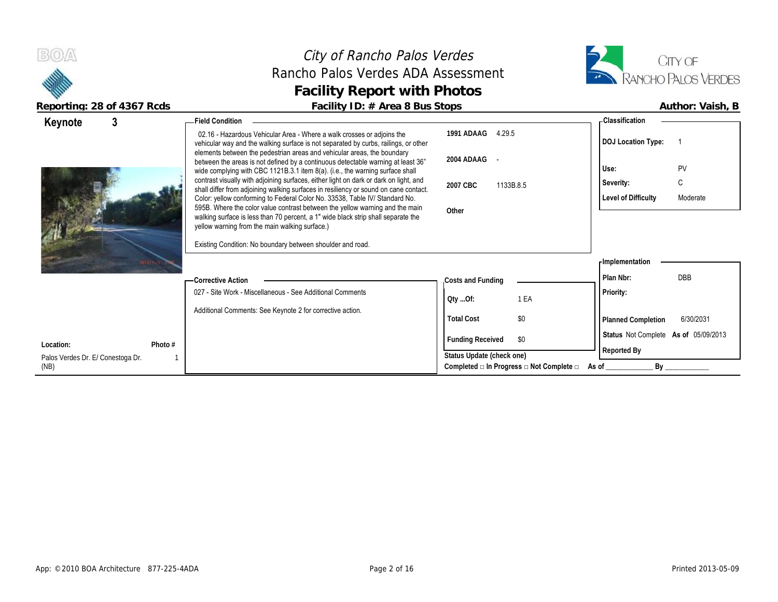



| Keynote                           | -Field Condition                                                                                                                                                                                                                         |                                                                  | - Classification                       |
|-----------------------------------|------------------------------------------------------------------------------------------------------------------------------------------------------------------------------------------------------------------------------------------|------------------------------------------------------------------|----------------------------------------|
|                                   | 02.16 - Hazardous Vehicular Area - Where a walk crosses or adjoins the<br>vehicular way and the walking surface is not separated by curbs, railings, or other<br>elements between the pedestrian areas and vehicular areas, the boundary | 1991 ADAAG<br>4.29.5                                             | <b>DOJ Location Type:</b>              |
|                                   | between the areas is not defined by a continuous detectable warning at least 36"                                                                                                                                                         | 2004 ADAAG -                                                     | PV<br>Use:                             |
|                                   | wide complying with CBC 1121B.3.1 item 8(a). (i.e., the warning surface shall<br>contrast visually with adjoining surfaces, either light on dark or dark on light, and                                                                   | 2007 CBC<br>1133B.8.5                                            | C<br>Severity:                         |
|                                   | shall differ from adjoining walking surfaces in resiliency or sound on cane contact.<br>Color: yellow conforming to Federal Color No. 33538, Table IV/ Standard No.                                                                      |                                                                  | <b>Level of Difficulty</b><br>Moderate |
|                                   | 595B. Where the color value contrast between the yellow warning and the main<br>walking surface is less than 70 percent, a 1" wide black strip shall separate the<br>yellow warning from the main walking surface.)                      | Other                                                            |                                        |
|                                   | Existing Condition: No boundary between shoulder and road.                                                                                                                                                                               |                                                                  |                                        |
|                                   |                                                                                                                                                                                                                                          |                                                                  | - Implementation                       |
|                                   | -Corrective Action                                                                                                                                                                                                                       | Costs and Funding                                                | <b>DBB</b><br>Plan Nbr:                |
|                                   | 027 - Site Work - Miscellaneous - See Additional Comments                                                                                                                                                                                | 1 EA<br>QtyOf:                                                   | Priority:                              |
|                                   | Additional Comments: See Keynote 2 for corrective action.                                                                                                                                                                                | <b>Total Cost</b><br>\$0                                         | <b>Planned Completion</b><br>6/30/2031 |
| Location:<br>Photo #              |                                                                                                                                                                                                                                          | <b>Funding Received</b><br>\$0                                   | Status Not Complete As of 05/09/2013   |
| Palos Verdes Dr. E/ Conestoga Dr. |                                                                                                                                                                                                                                          | Status Update (check one)                                        | Reported By                            |
| (NB)                              |                                                                                                                                                                                                                                          | Completed $\square$ In Progress $\square$ Not Complete $\square$ | <b>By</b><br>As of                     |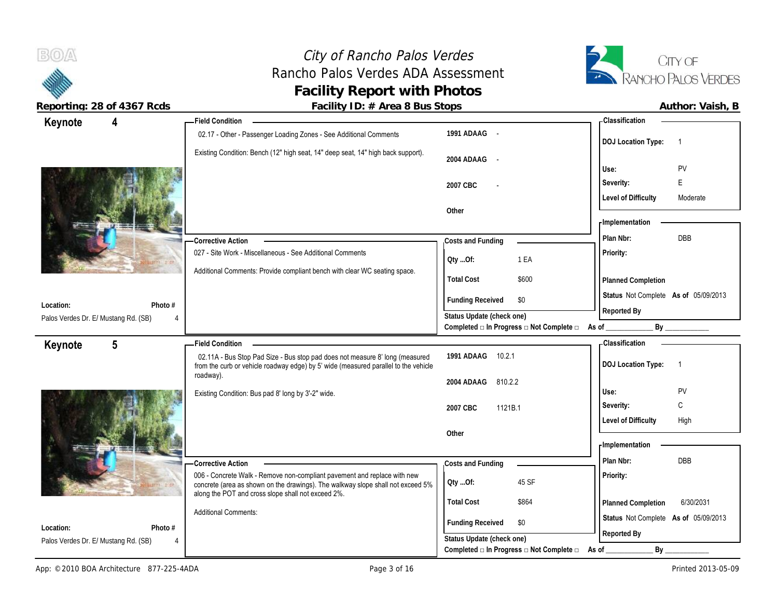

 $B(0)$ 

Reporting: 28 of 4367 Rcds **Facility ID: # Area 8 Bus Stops Author: Vaish, B Author: Vaish, B** 

| Keynote                                           | 4               | <b>Field Condition</b>                                                                                                                                              |                                                                                              | - Classification                            |
|---------------------------------------------------|-----------------|---------------------------------------------------------------------------------------------------------------------------------------------------------------------|----------------------------------------------------------------------------------------------|---------------------------------------------|
|                                                   |                 | 02.17 - Other - Passenger Loading Zones - See Additional Comments                                                                                                   | 1991 ADAAG -                                                                                 | <b>DOJ Location Type:</b><br>$\overline{1}$ |
|                                                   |                 | Existing Condition: Bench (12" high seat, 14" deep seat, 14" high back support).                                                                                    | 2004 ADAAG<br>$\sim$ $-$                                                                     | PV<br>Use:                                  |
|                                                   |                 |                                                                                                                                                                     |                                                                                              | E<br>Severity:                              |
|                                                   |                 |                                                                                                                                                                     | 2007 CBC                                                                                     | <b>Level of Difficulty</b><br>Moderate      |
|                                                   |                 |                                                                                                                                                                     | Other                                                                                        |                                             |
|                                                   |                 |                                                                                                                                                                     |                                                                                              | - Implementation                            |
|                                                   |                 | <b>Corrective Action</b>                                                                                                                                            | Costs and Funding                                                                            | DBB<br>Plan Nbr:                            |
|                                                   |                 | 027 - Site Work - Miscellaneous - See Additional Comments                                                                                                           |                                                                                              | Priority:                                   |
|                                                   |                 |                                                                                                                                                                     | 1 EA<br>Qty Of:                                                                              |                                             |
|                                                   |                 | Additional Comments: Provide compliant bench with clear WC seating space.                                                                                           | <b>Total Cost</b><br>\$600                                                                   | Planned Completion                          |
|                                                   |                 |                                                                                                                                                                     | \$0                                                                                          | Status Not Complete As of 05/09/2013        |
| Location:                                         | Photo #         |                                                                                                                                                                     | <b>Funding Received</b>                                                                      | Reported By                                 |
| Palos Verdes Dr. E/ Mustang Rd. (SB)              |                 |                                                                                                                                                                     | Status Update (check one)<br>Completed $\Box$ In Progress $\Box$ Not Complete $\Box$ As of _ | $\mathsf{By}$                               |
| Keynote                                           | $5\phantom{.0}$ | <b>Field Condition</b>                                                                                                                                              |                                                                                              | <b>Classification</b>                       |
|                                                   |                 |                                                                                                                                                                     |                                                                                              |                                             |
|                                                   |                 | 02.11A - Bus Stop Pad Size - Bus stop pad does not measure 8' long (measured<br>from the curb or vehicle roadway edge) by 5' wide (measured parallel to the vehicle | 1991 ADAAG<br>10.2.1                                                                         | <b>DOJ Location Type:</b><br>$\overline{1}$ |
|                                                   |                 | roadway).                                                                                                                                                           |                                                                                              |                                             |
|                                                   |                 | Existing Condition: Bus pad 8' long by 3'-2" wide.                                                                                                                  | 2004 ADAAG<br>810.2.2                                                                        | PV<br>Use:                                  |
|                                                   |                 |                                                                                                                                                                     | 2007 CBC<br>1121B.1                                                                          | C<br>Severity:                              |
|                                                   |                 |                                                                                                                                                                     |                                                                                              | <b>Level of Difficulty</b><br>High          |
|                                                   |                 |                                                                                                                                                                     | Other                                                                                        |                                             |
|                                                   |                 |                                                                                                                                                                     |                                                                                              | - Implementation                            |
|                                                   |                 | <b>Corrective Action</b>                                                                                                                                            | Costs and Funding                                                                            | Plan Nbr:<br>DBB                            |
|                                                   |                 | 006 - Concrete Walk - Remove non-compliant pavement and replace with new<br>concrete (area as shown on the drawings). The walkway slope shall not exceed 5%         | 45 SF<br>Qty Of:                                                                             | Priority:                                   |
|                                                   |                 | along the POT and cross slope shall not exceed 2%.                                                                                                                  | <b>Total Cost</b><br>\$864                                                                   | 6/30/2031<br>Planned Completion             |
|                                                   |                 | <b>Additional Comments:</b>                                                                                                                                         |                                                                                              | Status Not Complete As of 05/09/2013        |
| Location:<br>Palos Verdes Dr. E/ Mustang Rd. (SB) | Photo #<br>4    |                                                                                                                                                                     | <b>Funding Received</b><br>\$0<br>Status Update (check one)                                  | Reported By                                 |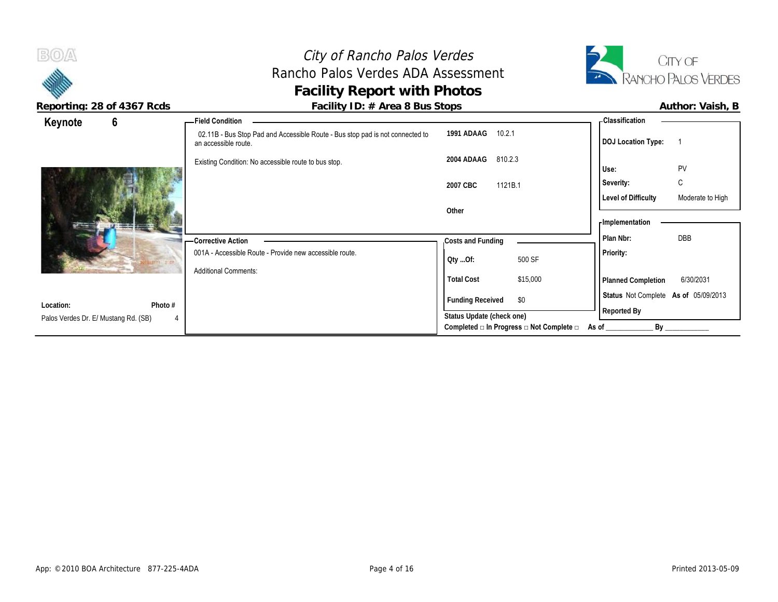City of Rancho Palos Verdes Rancho Palos Verdes ADA Assessment **Facility Report with Photos Reporting: 28 of 4367 Rcds Facility ID: # Area 8 Bus Stops Author: Vaish, B**



| 6<br>Keynote                                                      | Field Condition                                                                                       |                                                         | <b>Classification</b>                                                   |
|-------------------------------------------------------------------|-------------------------------------------------------------------------------------------------------|---------------------------------------------------------|-------------------------------------------------------------------------|
|                                                                   | 02.11B - Bus Stop Pad and Accessible Route - Bus stop pad is not connected to<br>an accessible route. | 1991 ADAAG<br>10.2.1                                    | <b>DOJ</b> Location Type:                                               |
|                                                                   | Existing Condition: No accessible route to bus stop.                                                  | 2004 ADAAG<br>810.2.3                                   | PV<br>Use:                                                              |
|                                                                   |                                                                                                       | 1121B.1<br>2007 CBC                                     | C<br>Severity:                                                          |
|                                                                   |                                                                                                       | Other                                                   | <b>Level of Difficulty</b><br>Moderate to High<br><b>Implementation</b> |
|                                                                   | - Corrective Action                                                                                   | Costs and Funding                                       | DBB<br>Plan Nbr:                                                        |
|                                                                   | 001A - Accessible Route - Provide new accessible route.                                               | 500 SF<br>Qty Of:                                       | Priority:                                                               |
|                                                                   | <b>Additional Comments:</b>                                                                           | <b>Total Cost</b><br>\$15,000                           | 6/30/2031<br><b>Planned Completion</b>                                  |
|                                                                   |                                                                                                       | <b>Funding Received</b><br>\$0                          | Status Not Complete As of 05/09/2013                                    |
| Photo #<br>Location:<br>Palos Verdes Dr. E/ Mustang Rd. (SB)<br>4 |                                                                                                       | Status Update (check one)                               | Reported By                                                             |
|                                                                   |                                                                                                       | Completed $\Box$ In Progress $\Box$ Not Complete $\Box$ | By<br>As of                                                             |

 $B(0)$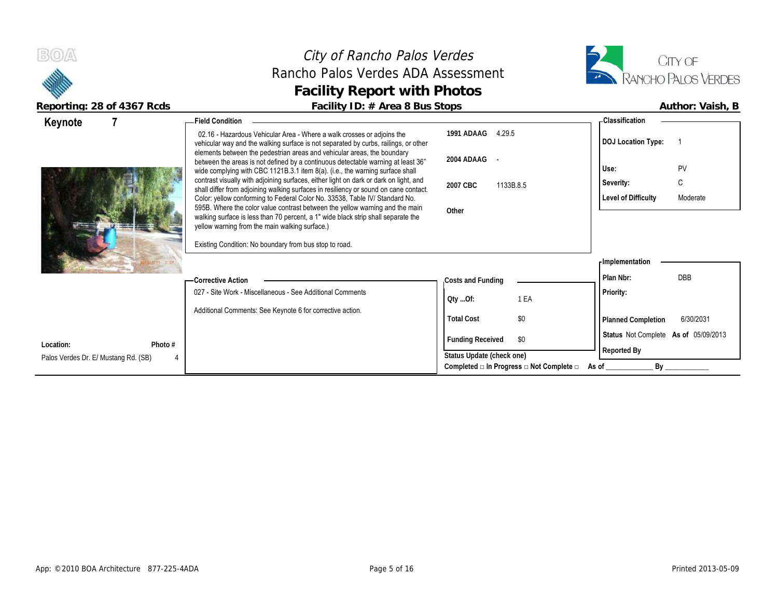



| Keynote                              | <b>Field Condition</b>                                                                                                                                                                                                                   |                                                         | <b>Classification</b>                  |
|--------------------------------------|------------------------------------------------------------------------------------------------------------------------------------------------------------------------------------------------------------------------------------------|---------------------------------------------------------|----------------------------------------|
|                                      | 02.16 - Hazardous Vehicular Area - Where a walk crosses or adjoins the<br>vehicular way and the walking surface is not separated by curbs, railings, or other<br>elements between the pedestrian areas and vehicular areas, the boundary | 1991 ADAAG 4.29.5                                       | <b>DOJ Location Type:</b>              |
|                                      | between the areas is not defined by a continuous detectable warning at least 36"<br>wide complying with CBC 1121B.3.1 item 8(a). (i.e., the warning surface shall                                                                        | 2004 ADAAG -                                            | PV<br>Use:                             |
|                                      | contrast visually with adjoining surfaces, either light on dark or dark on light, and                                                                                                                                                    | 2007 CBC<br>1133B.8.5                                   | C<br>Severity:                         |
|                                      | shall differ from adjoining walking surfaces in resiliency or sound on cane contact.<br>Color: yellow conforming to Federal Color No. 33538, Table IV/ Standard No.                                                                      |                                                         | Level of Difficulty<br>Moderate        |
|                                      | 595B. Where the color value contrast between the yellow warning and the main<br>walking surface is less than 70 percent, a 1" wide black strip shall separate the                                                                        | Other                                                   |                                        |
|                                      | yellow warning from the main walking surface.)                                                                                                                                                                                           |                                                         |                                        |
|                                      | Existing Condition: No boundary from bus stop to road.                                                                                                                                                                                   |                                                         |                                        |
|                                      |                                                                                                                                                                                                                                          |                                                         | <b>Implementation</b>                  |
|                                      | — Corrective Action                                                                                                                                                                                                                      | Costs and Funding                                       | <b>DBB</b><br>Plan Nbr:                |
|                                      | 027 - Site Work - Miscellaneous - See Additional Comments                                                                                                                                                                                | 1 EA<br>QtyOf:                                          | Priority:                              |
|                                      | Additional Comments: See Keynote 6 for corrective action.                                                                                                                                                                                | \$0<br><b>Total Cost</b>                                |                                        |
|                                      |                                                                                                                                                                                                                                          |                                                         | <b>Planned Completion</b><br>6/30/2031 |
| Location:<br>Photo #                 |                                                                                                                                                                                                                                          | <b>Funding Received</b><br>\$0                          | Status Not Complete As of 05/09/2013   |
| Palos Verdes Dr. E/ Mustang Rd. (SB) |                                                                                                                                                                                                                                          | Status Update (check one)                               | Reported By                            |
|                                      |                                                                                                                                                                                                                                          | Completed $\Box$ In Progress $\Box$ Not Complete $\Box$ | By<br>As of                            |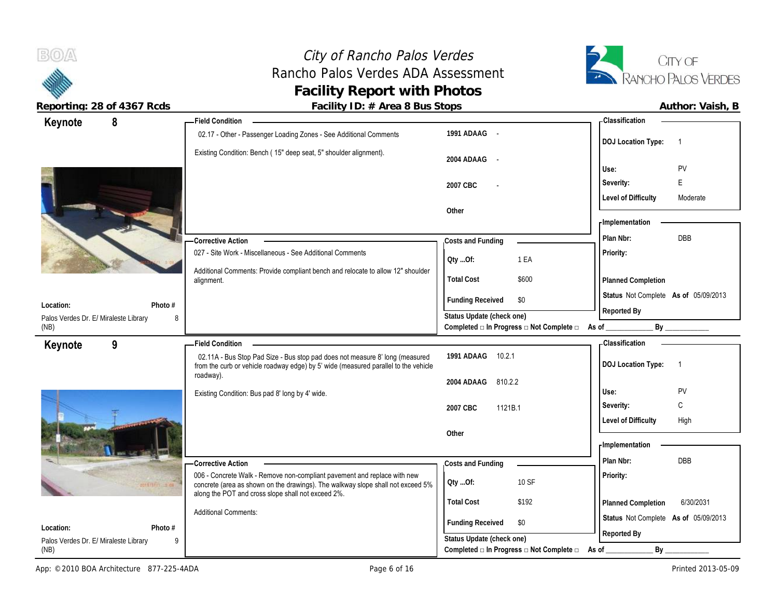

 $B(0)$ 

**Reporting: 28 of 4367 Rcds Facility ID: # Area 8 Bus Stops Author: Vaish, B**

| 8<br>Keynote                                       | - Field Condition                                                                                                                                                   |                                                                                               | - Classification                       |
|----------------------------------------------------|---------------------------------------------------------------------------------------------------------------------------------------------------------------------|-----------------------------------------------------------------------------------------------|----------------------------------------|
|                                                    | 02.17 - Other - Passenger Loading Zones - See Additional Comments                                                                                                   | 1991 ADAAG -                                                                                  | <b>DOJ</b> Location Type:<br>-1        |
|                                                    | Existing Condition: Bench (15" deep seat, 5" shoulder alignment).                                                                                                   | 2004 ADAAG<br>$\sim$                                                                          |                                        |
|                                                    |                                                                                                                                                                     |                                                                                               | PV<br>Use:                             |
|                                                    |                                                                                                                                                                     | 2007 CBC                                                                                      | E<br>Severity:                         |
|                                                    |                                                                                                                                                                     | Other                                                                                         | <b>Level of Difficulty</b><br>Moderate |
|                                                    |                                                                                                                                                                     |                                                                                               | - Implementation                       |
|                                                    | <b>Corrective Action</b>                                                                                                                                            | Costs and Funding                                                                             | DBB<br>Plan Nbr:                       |
|                                                    | 027 - Site Work - Miscellaneous - See Additional Comments                                                                                                           |                                                                                               | Priority:                              |
|                                                    | Additional Comments: Provide compliant bench and relocate to allow 12" shoulder                                                                                     | 1 EA<br>Oty Of:                                                                               |                                        |
|                                                    | alignment.                                                                                                                                                          | <b>Total Cost</b><br>\$600                                                                    | <b>Planned Completion</b>              |
|                                                    |                                                                                                                                                                     | <b>Funding Received</b><br>\$0                                                                | Status Not Complete As of 05/09/2013   |
| Photo #<br>Location:                               |                                                                                                                                                                     |                                                                                               | Reported By                            |
| Palos Verdes Dr. E/ Miraleste Library<br>8<br>(NB) |                                                                                                                                                                     | Status Update (check one)<br>Completed $\square$ In Progress $\square$ Not Complete $\square$ | As of                                  |
| 9<br>Keynote                                       | <b>Field Condition</b>                                                                                                                                              |                                                                                               | <b>Classification</b>                  |
|                                                    | 02.11A - Bus Stop Pad Size - Bus stop pad does not measure 8' long (measured<br>from the curb or vehicle roadway edge) by 5' wide (measured parallel to the vehicle | 10.2.1<br>1991 ADAAG                                                                          | <b>DOJ</b> Location Type:<br>- 1       |
|                                                    | roadway).                                                                                                                                                           | 2004 ADAAG<br>810.2.2                                                                         |                                        |
|                                                    | Existing Condition: Bus pad 8' long by 4' wide.                                                                                                                     |                                                                                               | PV<br>Use:                             |
|                                                    |                                                                                                                                                                     | 1121B.1<br>2007 CBC                                                                           | C<br>Severity:                         |
|                                                    |                                                                                                                                                                     |                                                                                               | <b>Level of Difficulty</b><br>High     |
|                                                    |                                                                                                                                                                     | Other                                                                                         | - Implementation                       |
|                                                    |                                                                                                                                                                     |                                                                                               | <b>DBB</b><br>Plan Nbr:                |
|                                                    | - Corrective Action                                                                                                                                                 | Costs and Funding                                                                             |                                        |
|                                                    |                                                                                                                                                                     |                                                                                               |                                        |
| 9010/11113700                                      | 006 - Concrete Walk - Remove non-compliant pavement and replace with new<br>concrete (area as shown on the drawings). The walkway slope shall not exceed 5%         | 10 SF<br>Oty Of:                                                                              | <b>Priority:</b>                       |
|                                                    | along the POT and cross slope shall not exceed 2%.                                                                                                                  | <b>Total Cost</b><br>\$192                                                                    | 6/30/2031<br><b>Planned Completion</b> |

**Photo #** 9 **Location:** Palos Verdes Dr. E/ Miraleste Library 9 (NB)

**Funding Received** \$0 **Status Update (check one)**

**Completed □ In Progress □ Not Complete □ As of \_\_\_\_\_\_\_\_\_\_\_\_\_ By \_\_\_\_\_\_\_\_\_\_\_\_**

**Status** Not Complete **As of** 05/09/2013

**Reported By**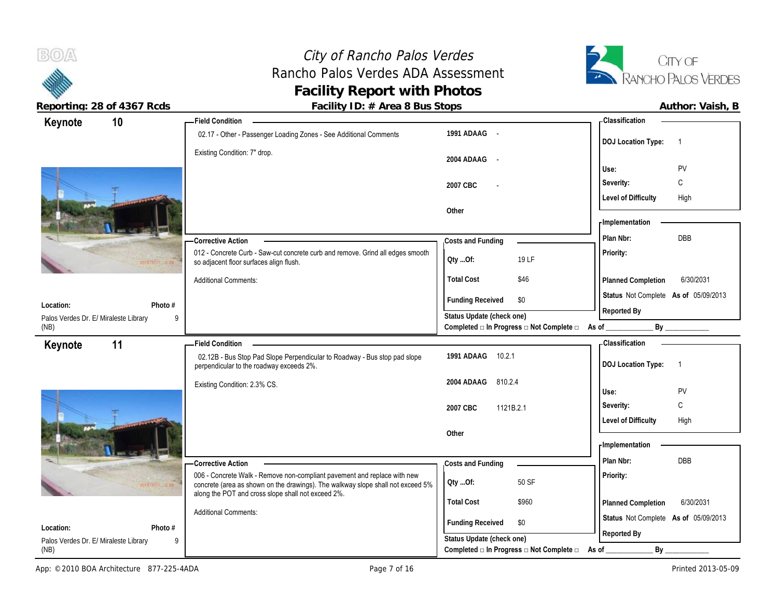

 $B(0)$ 

Palos (NB)

Reporting: 28 of 4367 Rcds **Facility ID: # Area 8 Bus Stops Facility ID: # Area 8 Bus Stops Author: Vaish, B** 

| 10<br>Keynote                              | <b>Field Condition</b>                                                                                                                                                                                            |                                          | <b>Classification</b>                       |
|--------------------------------------------|-------------------------------------------------------------------------------------------------------------------------------------------------------------------------------------------------------------------|------------------------------------------|---------------------------------------------|
|                                            | 02.17 - Other - Passenger Loading Zones - See Additional Comments                                                                                                                                                 | 1991 ADAAG -                             | <b>DOJ Location Type:</b><br>$\overline{1}$ |
|                                            | Existing Condition: 7" drop.                                                                                                                                                                                      | 2004 ADAAG -                             | <b>PV</b><br>Use:                           |
|                                            |                                                                                                                                                                                                                   | 2007 CBC                                 | $\mathsf{C}$<br>Severity:                   |
|                                            |                                                                                                                                                                                                                   |                                          | <b>Level of Difficulty</b><br>High          |
|                                            |                                                                                                                                                                                                                   | Other                                    |                                             |
|                                            |                                                                                                                                                                                                                   |                                          | - Implementation                            |
|                                            | - Corrective Action                                                                                                                                                                                               | Costs and Funding                        | DBB<br>Plan Nbr:                            |
| 2010/1111 12:00                            | 012 - Concrete Curb - Saw-cut concrete curb and remove. Grind all edges smooth<br>so adjacent floor surfaces align flush.                                                                                         | 19 LF<br>Oty Of:                         | Priority:                                   |
|                                            | <b>Additional Comments:</b>                                                                                                                                                                                       | <b>Total Cost</b><br>\$46                | 6/30/2031<br><b>Planned Completion</b>      |
| Photo #<br>Location:                       |                                                                                                                                                                                                                   | <b>Funding Received</b><br>\$0           | Status Not Complete As of 05/09/2013        |
| Palos Verdes Dr. E/ Miraleste Library<br>9 |                                                                                                                                                                                                                   | Status Update (check one)                | Reported By                                 |
| (NB)                                       |                                                                                                                                                                                                                   | Completed □ In Progress □ Not Complete □ | As of<br>By                                 |
| 11<br>Keynote                              | <b>Field Condition</b>                                                                                                                                                                                            |                                          | <b>Classification</b>                       |
|                                            | 02.12B - Bus Stop Pad Slope Perpendicular to Roadway - Bus stop pad slope<br>perpendicular to the roadway exceeds 2%.                                                                                             | 1991 ADAAG<br>10.2.1                     | <b>DOJ Location Type:</b><br>$\overline{1}$ |
|                                            | Existing Condition: 2.3% CS.                                                                                                                                                                                      | 2004 ADAAG<br>810.2.4                    |                                             |
|                                            |                                                                                                                                                                                                                   |                                          | PV<br>Use:                                  |
|                                            |                                                                                                                                                                                                                   | 2007 CBC<br>1121B.2.1                    | $\mathsf{C}$<br>Severity:                   |
|                                            |                                                                                                                                                                                                                   |                                          | <b>Level of Difficulty</b><br>High          |
|                                            |                                                                                                                                                                                                                   | Other                                    | - Implementation                            |
|                                            |                                                                                                                                                                                                                   |                                          |                                             |
|                                            | - Corrective Action                                                                                                                                                                                               | Costs and Funding                        | Plan Nbr:<br>DBB                            |
|                                            | 006 - Concrete Walk - Remove non-compliant pavement and replace with new<br>concrete (area as shown on the drawings). The walkway slope shall not exceed 5%<br>along the POT and cross slope shall not exceed 2%. | 50 SF<br>Qty Of:                         | Priority:                                   |
|                                            |                                                                                                                                                                                                                   | <b>Total Cost</b><br>\$960               | 6/30/2031<br>Planned Completion             |
|                                            | <b>Additional Comments:</b>                                                                                                                                                                                       |                                          | Status Not Complete As of 05/09/2013        |
| Photo #<br>Location:                       |                                                                                                                                                                                                                   | <b>Funding Received</b><br>\$0           | Reported By                                 |
| Palos Verdes Dr. E/ Miraleste Library<br>9 |                                                                                                                                                                                                                   | Status Update (check one)                |                                             |

Completed **□ In Progress □ Not Complete □** As of \_\_\_\_\_\_\_\_\_\_\_\_\_\_\_\_\_\_\_\_\_\_\_\_\_\_\_\_\_\_\_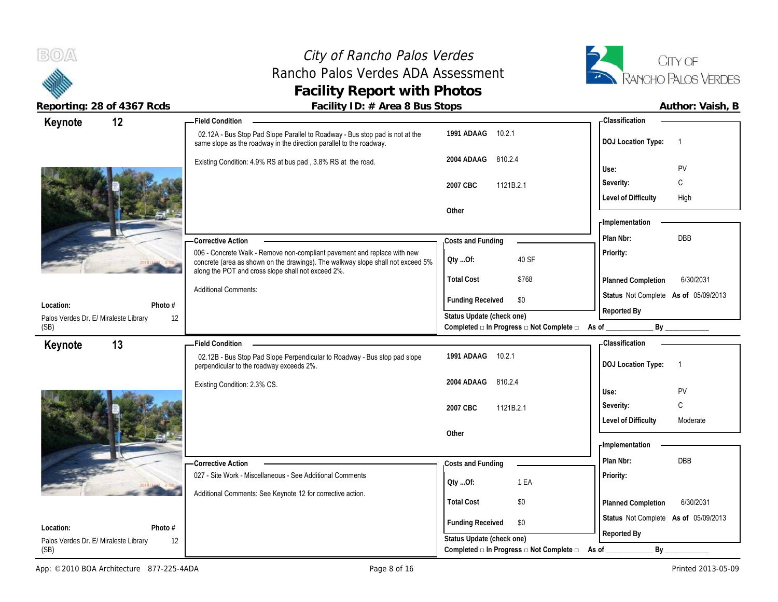(SB)

#### City of Rancho Palos Verdes Rancho Palos Verdes ADA Assessment **Facility Report with Photos**



**Reporting: 28 of 4367 Rcds Facility ID: # Area 8 Bus Stops Author: Vaish, B**

| Keynote                               | 12      | <b>Field Condition</b>                                                                                                                                                                                            |                                                        | <b>Classification</b>                               |
|---------------------------------------|---------|-------------------------------------------------------------------------------------------------------------------------------------------------------------------------------------------------------------------|--------------------------------------------------------|-----------------------------------------------------|
|                                       |         | 02.12A - Bus Stop Pad Slope Parallel to Roadway - Bus stop pad is not at the<br>same slope as the roadway in the direction parallel to the roadway.                                                               | 1991 ADAAG<br>10.2.1                                   | <b>DOJ</b> Location Type:<br>$\overline{1}$         |
|                                       |         | Existing Condition: 4.9% RS at bus pad, 3.8% RS at the road.                                                                                                                                                      | 810.2.4<br>2004 ADAAG                                  | PV<br>Use:                                          |
|                                       |         |                                                                                                                                                                                                                   | 2007 CBC<br>1121B.2.1                                  | C<br>Severity:                                      |
|                                       |         |                                                                                                                                                                                                                   |                                                        | <b>Level of Difficulty</b><br>High                  |
|                                       |         |                                                                                                                                                                                                                   | Other                                                  |                                                     |
|                                       |         |                                                                                                                                                                                                                   |                                                        | - Implementation                                    |
|                                       |         | - Corrective Action                                                                                                                                                                                               | Costs and Funding                                      | DBB<br>Plan Nbr:                                    |
|                                       |         | 006 - Concrete Walk - Remove non-compliant pavement and replace with new<br>concrete (area as shown on the drawings). The walkway slope shall not exceed 5%<br>along the POT and cross slope shall not exceed 2%. | 40 SF<br>Oty Of:                                       | Priority:                                           |
|                                       |         |                                                                                                                                                                                                                   | <b>Total Cost</b><br>\$768                             | 6/30/2031<br>Planned Completion                     |
| Location:                             | Photo # | <b>Additional Comments:</b>                                                                                                                                                                                       | <b>Funding Received</b><br>\$0                         | Status Not Complete As of 05/09/2013                |
| Palos Verdes Dr. E/ Miraleste Library | 12      |                                                                                                                                                                                                                   | Status Update (check one)                              | Reported By                                         |
| (SB)                                  |         |                                                                                                                                                                                                                   | Completed □ In Progress □ Not Complete □ As of _______ | By                                                  |
| Keynote                               | 13      | <b>Field Condition</b>                                                                                                                                                                                            |                                                        | <b>Classification</b>                               |
|                                       |         | 02.12B - Bus Stop Pad Slope Perpendicular to Roadway - Bus stop pad slope<br>perpendicular to the roadway exceeds 2%.                                                                                             | 1991 ADAAG<br>10.2.1                                   | <b>DOJ</b> Location Type:<br>$\overline{1}$         |
|                                       |         | Existing Condition: 2.3% CS.                                                                                                                                                                                      | 2004 ADAAG<br>810.2.4                                  | PV<br>Use:                                          |
|                                       |         |                                                                                                                                                                                                                   | 2007 CBC<br>1121B.2.1                                  | C<br>Severity:                                      |
|                                       |         |                                                                                                                                                                                                                   |                                                        | <b>Level of Difficulty</b><br>Moderate              |
|                                       |         |                                                                                                                                                                                                                   | Other                                                  |                                                     |
|                                       |         |                                                                                                                                                                                                                   |                                                        | - Implementation                                    |
|                                       |         | -Corrective Action                                                                                                                                                                                                | Costs and Funding                                      | Plan Nbr:<br><b>DBB</b>                             |
|                                       |         | 027 - Site Work - Miscellaneous - See Additional Comments                                                                                                                                                         |                                                        | <b>Priority:</b>                                    |
|                                       |         |                                                                                                                                                                                                                   | 1 EA<br>QtyOf:                                         |                                                     |
|                                       |         | Additional Comments: See Keynote 12 for corrective action.                                                                                                                                                        |                                                        |                                                     |
|                                       |         |                                                                                                                                                                                                                   | \$0<br><b>Total Cost</b>                               | Planned Completion<br>6/30/2031                     |
| Location:                             | Photo # |                                                                                                                                                                                                                   | <b>Funding Received</b><br>\$0                         | Status Not Complete As of 05/09/2013<br>Reported By |

Palos Verdes Dr. E/ Miraleste Library

12

**Status Update (check one)**

**Completed □ In Progress □ Not Complete □ As of \_\_\_\_\_\_\_\_\_\_\_\_\_ By \_\_\_\_\_\_\_\_\_\_\_\_**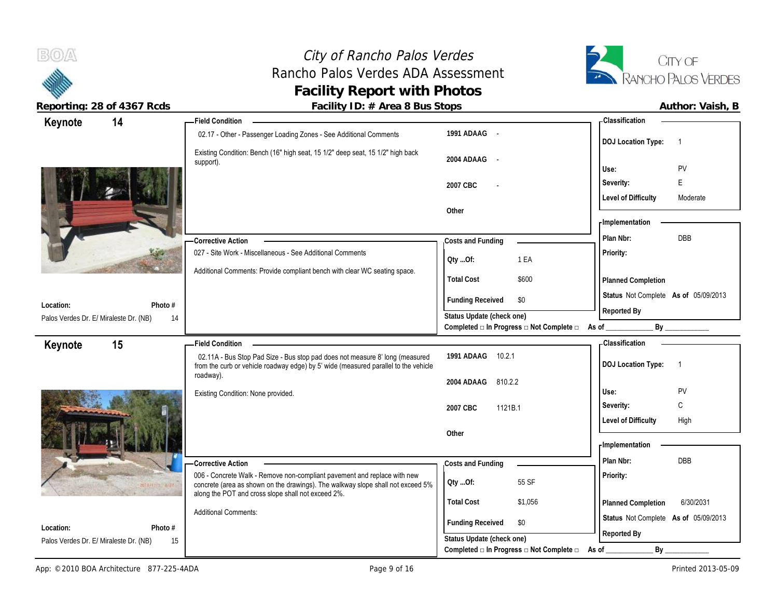

 $B(0)$ 

| 14<br>Keynote                          |         | <b>Field Condition</b>                                                                                                                                              |                                                                                               | - Classification                            |
|----------------------------------------|---------|---------------------------------------------------------------------------------------------------------------------------------------------------------------------|-----------------------------------------------------------------------------------------------|---------------------------------------------|
|                                        |         | 02.17 - Other - Passenger Loading Zones - See Additional Comments                                                                                                   | 1991 ADAAG -                                                                                  | <b>DOJ Location Type:</b><br>$\overline{1}$ |
|                                        |         | Existing Condition: Bench (16" high seat, 15 1/2" deep seat, 15 1/2" high back<br>support).                                                                         | 2004 ADAAG                                                                                    | PV<br>Use:                                  |
|                                        |         |                                                                                                                                                                     |                                                                                               |                                             |
|                                        |         |                                                                                                                                                                     | 2007 CBC                                                                                      | E<br>Severity:                              |
|                                        |         |                                                                                                                                                                     |                                                                                               | <b>Level of Difficulty</b><br>Moderate      |
|                                        |         |                                                                                                                                                                     | Other                                                                                         | - Implementation                            |
|                                        |         |                                                                                                                                                                     |                                                                                               |                                             |
|                                        |         | <b>Corrective Action</b>                                                                                                                                            | Costs and Funding                                                                             | <b>DBB</b><br>Plan Nbr:                     |
|                                        |         | 027 - Site Work - Miscellaneous - See Additional Comments                                                                                                           | Qty Of:<br>1 EA                                                                               | Priority:                                   |
|                                        |         | Additional Comments: Provide compliant bench with clear WC seating space.                                                                                           |                                                                                               |                                             |
|                                        |         |                                                                                                                                                                     | <b>Total Cost</b><br>\$600                                                                    | Planned Completion                          |
| Location:                              | Photo # |                                                                                                                                                                     | <b>Funding Received</b><br>\$0                                                                | Status Not Complete As of 05/09/2013        |
| Palos Verdes Dr. E/ Miraleste Dr. (NB) | 14      |                                                                                                                                                                     | Status Update (check one)                                                                     | Reported By                                 |
|                                        |         |                                                                                                                                                                     | Completed □ In Progress □ Not Complete □ As of _________                                      | By                                          |
| 15<br>Keynote                          |         | <b>Field Condition</b>                                                                                                                                              |                                                                                               | - Classification                            |
|                                        |         | 02.11A - Bus Stop Pad Size - Bus stop pad does not measure 8' long (measured<br>from the curb or vehicle roadway edge) by 5' wide (measured parallel to the vehicle | 1991 ADAAG 10.2.1                                                                             | <b>DOJ Location Type:</b><br>$\overline{1}$ |
|                                        |         |                                                                                                                                                                     |                                                                                               |                                             |
|                                        |         | roadway).                                                                                                                                                           | 2004 ADAAG<br>810.2.2                                                                         |                                             |
|                                        |         | Existing Condition: None provided.                                                                                                                                  |                                                                                               | PV<br>Use:                                  |
|                                        |         |                                                                                                                                                                     | 2007 CBC<br>1121B.1                                                                           | C<br>Severity:                              |
|                                        |         |                                                                                                                                                                     |                                                                                               | <b>Level of Difficulty</b><br>High          |
|                                        |         |                                                                                                                                                                     | Other                                                                                         |                                             |
|                                        |         |                                                                                                                                                                     |                                                                                               | - Implementation                            |
|                                        |         |                                                                                                                                                                     |                                                                                               | Plan Nbr:<br>DBB                            |
|                                        |         | <b>Corrective Action</b><br>006 - Concrete Walk - Remove non-compliant pavement and replace with new                                                                | Costs and Funding                                                                             | Priority:                                   |
|                                        |         | concrete (area as shown on the drawings). The walkway slope shall not exceed 5%                                                                                     | 55 SF<br>Qty Of:                                                                              |                                             |
|                                        |         | along the POT and cross slope shall not exceed 2%.                                                                                                                  | <b>Total Cost</b><br>\$1,056                                                                  | 6/30/2031<br>Planned Completion             |
|                                        |         | <b>Additional Comments:</b>                                                                                                                                         |                                                                                               | Status Not Complete As of 05/09/2013        |
| Location:                              | Photo # |                                                                                                                                                                     | <b>Funding Received</b><br>\$0                                                                |                                             |
| Palos Verdes Dr. E/ Miraleste Dr. (NB) | 15      |                                                                                                                                                                     | Status Update (check one)<br>Completed $\square$ In Progress $\square$ Not Complete $\square$ | Reported By<br>$By_$<br>As of               |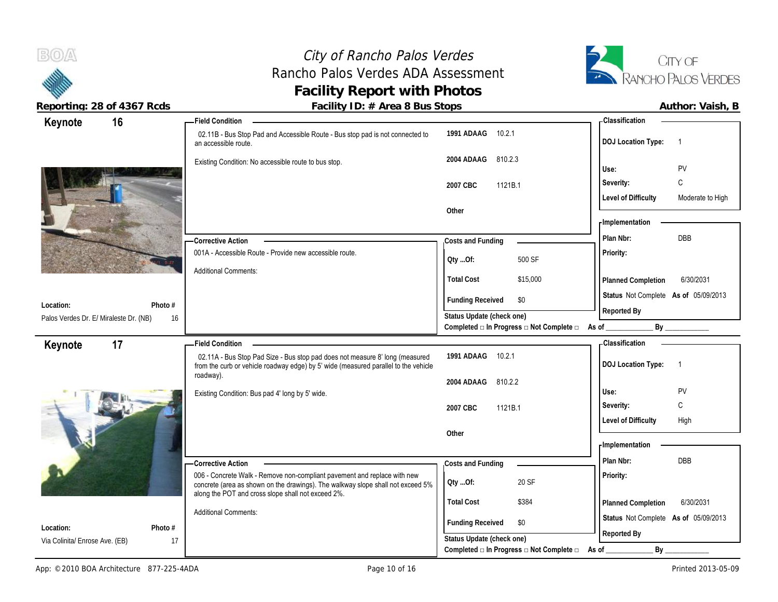City of Rancho Palos Verdes Rancho Palos Verdes ADA Assessment **Facility Report with Photos Reporting: 28 of 4367 Rcds Facility ID: # Area 8 Bus Stops Author: Vaish, B**



| 16<br>Keynote                          |         | <b>Field Condition</b>                                                                                |                                                                                               | <b>Classification</b>                                 |                  |
|----------------------------------------|---------|-------------------------------------------------------------------------------------------------------|-----------------------------------------------------------------------------------------------|-------------------------------------------------------|------------------|
|                                        |         | 02.11B - Bus Stop Pad and Accessible Route - Bus stop pad is not connected to<br>an accessible route. | 1991 ADAAG<br>10.2.1                                                                          | <b>DOJ Location Type:</b><br>$\overline{\phantom{1}}$ |                  |
|                                        |         | Existing Condition: No accessible route to bus stop.                                                  | 810.2.3<br>2004 ADAAG                                                                         |                                                       |                  |
|                                        |         |                                                                                                       |                                                                                               | PV<br>Use:                                            |                  |
|                                        |         |                                                                                                       | 2007 CBC<br>1121B.1                                                                           | C<br>Severity:                                        |                  |
|                                        |         |                                                                                                       |                                                                                               | <b>Level of Difficulty</b>                            | Moderate to High |
|                                        |         |                                                                                                       | Other                                                                                         | Implementation                                        |                  |
|                                        |         |                                                                                                       |                                                                                               |                                                       |                  |
|                                        |         | - Corrective Action                                                                                   | Costs and Funding                                                                             | DBB<br>Plan Nbr:                                      |                  |
|                                        |         | 001A - Accessible Route - Provide new accessible route.                                               | 500 SF<br>Oty Of:                                                                             | Priority:                                             |                  |
|                                        |         | <b>Additional Comments:</b>                                                                           | <b>Total Cost</b>                                                                             |                                                       |                  |
|                                        |         |                                                                                                       | \$15,000                                                                                      | Planned Completion                                    | 6/30/2031        |
| Location:                              | Photo # |                                                                                                       | <b>Funding Received</b><br>\$0                                                                | Status Not Complete As of 05/09/2013                  |                  |
| Palos Verdes Dr. E/ Miraleste Dr. (NB) | 16      |                                                                                                       | Status Update (check one)                                                                     | Reported By                                           |                  |
|                                        |         |                                                                                                       | Completed a In Progress a Not Complete a As of                                                | By                                                    |                  |
| 17<br>Keynote                          |         | <b>Field Condition</b>                                                                                |                                                                                               | <b>Classification</b>                                 |                  |
|                                        |         | 02.11A - Bus Stop Pad Size - Bus stop pad does not measure 8' long (measured                          | 1991 ADAAG 10.2.1                                                                             | <b>DOJ Location Type:</b><br>$\overline{1}$           |                  |
|                                        |         | from the curb or vehicle roadway edge) by 5' wide (measured parallel to the vehicle<br>roadway).      |                                                                                               |                                                       |                  |
|                                        |         |                                                                                                       |                                                                                               |                                                       |                  |
|                                        |         |                                                                                                       | 2004 ADAAG<br>810.2.2                                                                         | Use:                                                  |                  |
|                                        |         | Existing Condition: Bus pad 4' long by 5' wide.                                                       |                                                                                               | PV<br>C<br>Severity:                                  |                  |
|                                        |         |                                                                                                       | 2007 CBC<br>1121B.1                                                                           | High                                                  |                  |
|                                        |         |                                                                                                       | Other                                                                                         | <b>Level of Difficulty</b>                            |                  |
|                                        |         |                                                                                                       |                                                                                               | - Implementation                                      |                  |
|                                        |         |                                                                                                       |                                                                                               | Plan Nbr:<br><b>DBB</b>                               |                  |
|                                        |         | <b>Corrective Action</b><br>006 - Concrete Walk - Remove non-compliant pavement and replace with new  | Costs and Funding                                                                             | Priority:                                             |                  |
|                                        |         | concrete (area as shown on the drawings). The walkway slope shall not exceed 5%                       | 20 SF<br>QtyOf:                                                                               |                                                       |                  |
|                                        |         | along the POT and cross slope shall not exceed 2%.                                                    | <b>Total Cost</b><br>\$384                                                                    | Planned Completion                                    | 6/30/2031        |
|                                        |         | <b>Additional Comments:</b>                                                                           |                                                                                               | Status Not Complete As of 05/09/2013                  |                  |
| Location:                              | Photo # |                                                                                                       | <b>Funding Received</b><br>\$0                                                                |                                                       |                  |
| Via Colinita/ Enrose Ave. (EB)         | 17      |                                                                                                       | Status Update (check one)<br>Completed $\square$ In Progress $\square$ Not Complete $\square$ | Reported By<br>By<br>As of                            |                  |

 $B(0)$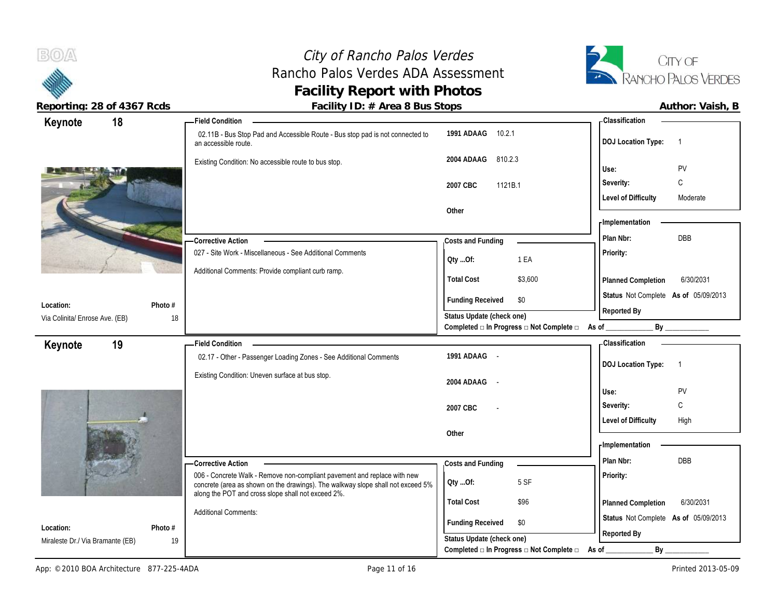## City of Rancho Palos Verdes Rancho Palos Verdes ADA Assessment **Facility Report with Photos**



Reporting: 28 of 4367 Rcds **Facility ID: # Area 8 Bus Stops Facility ID: # Area 8 Bus Stops Author: Vaish, B** 

| 18<br>Keynote                    |         | <b>Field Condition</b>                                                                                                                                      |                                                                                               |                                          | - Classification                                    |
|----------------------------------|---------|-------------------------------------------------------------------------------------------------------------------------------------------------------------|-----------------------------------------------------------------------------------------------|------------------------------------------|-----------------------------------------------------|
|                                  |         | 02.11B - Bus Stop Pad and Accessible Route - Bus stop pad is not connected to<br>an accessible route.                                                       | 1991 ADAAG 10.2.1                                                                             |                                          | <b>DOJ Location Type:</b><br>$\overline{1}$         |
|                                  |         | Existing Condition: No accessible route to bus stop.                                                                                                        | 810.2.3<br>2004 ADAAG                                                                         |                                          | PV<br>Use:                                          |
|                                  |         |                                                                                                                                                             | 2007 CBC<br>1121B.1                                                                           |                                          | C<br>Severity:                                      |
|                                  |         |                                                                                                                                                             |                                                                                               |                                          | <b>Level of Difficulty</b><br>Moderate              |
|                                  |         |                                                                                                                                                             | Other                                                                                         |                                          |                                                     |
|                                  |         |                                                                                                                                                             |                                                                                               |                                          | - Implementation                                    |
|                                  |         | <b>Corrective Action</b>                                                                                                                                    | Costs and Funding                                                                             |                                          | DBB<br>Plan Nbr:                                    |
|                                  |         | 027 - Site Work - Miscellaneous - See Additional Comments                                                                                                   | Oty Of:                                                                                       | 1 EA                                     | Priority:                                           |
|                                  |         | Additional Comments: Provide compliant curb ramp.                                                                                                           | <b>Total Cost</b>                                                                             | \$3,600                                  | 6/30/2031<br>Planned Completion                     |
| Location:                        | Photo # |                                                                                                                                                             | <b>Funding Received</b>                                                                       | \$0                                      | Status Not Complete As of 05/09/2013<br>Reported By |
| Via Colinita/ Enrose Ave. (EB)   | 18      |                                                                                                                                                             | Status Update (check one)                                                                     |                                          |                                                     |
|                                  |         |                                                                                                                                                             |                                                                                               | Completed □ In Progress □ Not Complete □ | By _____________<br>As of _                         |
| 19<br>Keynote                    |         | <b>Field Condition</b>                                                                                                                                      | 1991 ADAAG -                                                                                  |                                          | <b>Classification</b>                               |
|                                  |         | 02.17 - Other - Passenger Loading Zones - See Additional Comments                                                                                           |                                                                                               |                                          | <b>DOJ Location Type:</b><br>$\overline{1}$         |
|                                  |         | Existing Condition: Uneven surface at bus stop.                                                                                                             | 2004 ADAAG<br>$\sim$                                                                          |                                          |                                                     |
|                                  |         |                                                                                                                                                             |                                                                                               |                                          | PV<br>Use:                                          |
|                                  |         |                                                                                                                                                             | 2007 CBC                                                                                      |                                          | C<br>Severity:                                      |
|                                  |         |                                                                                                                                                             |                                                                                               |                                          |                                                     |
|                                  |         |                                                                                                                                                             |                                                                                               |                                          | <b>Level of Difficulty</b><br>High                  |
|                                  |         |                                                                                                                                                             | Other                                                                                         |                                          |                                                     |
|                                  |         |                                                                                                                                                             |                                                                                               |                                          | - Implementation                                    |
|                                  |         | -Corrective Action                                                                                                                                          | Costs and Funding                                                                             |                                          | DBB<br>Plan Nbr:                                    |
|                                  |         | 006 - Concrete Walk - Remove non-compliant pavement and replace with new<br>concrete (area as shown on the drawings). The walkway slope shall not exceed 5% | Qty Of:                                                                                       | 5 SF                                     | Priority:                                           |
|                                  |         | along the POT and cross slope shall not exceed 2%.                                                                                                          | <b>Total Cost</b>                                                                             | \$96                                     | 6/30/2031<br>Planned Completion                     |
| Location:                        | Photo # | <b>Additional Comments:</b>                                                                                                                                 | <b>Funding Received</b>                                                                       | \$0                                      | Status Not Complete As of 05/09/2013                |
| Miraleste Dr./ Via Bramante (EB) | 19      |                                                                                                                                                             | Status Update (check one)<br>Completed $\square$ In Progress $\square$ Not Complete $\square$ |                                          | Reported By<br>By                                   |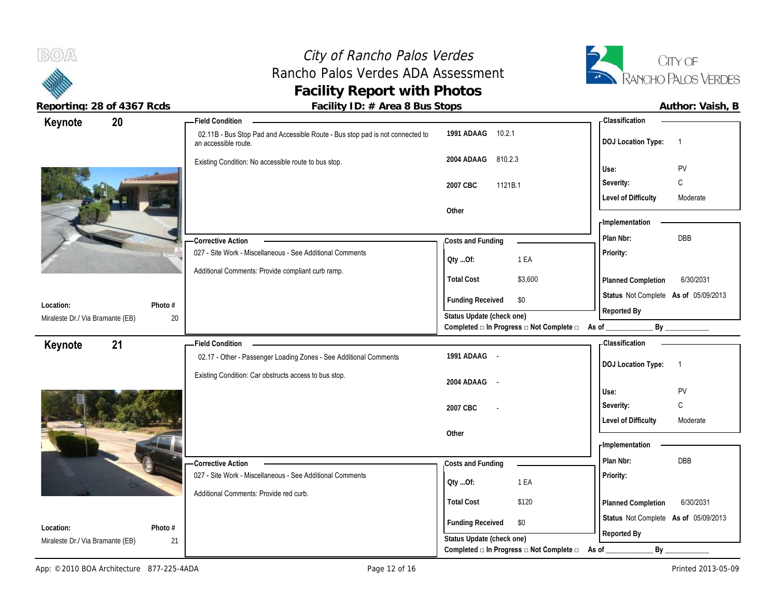## City of Rancho Palos Verdes Rancho Palos Verdes ADA Assessment **Facility Report with Photos**



Reporting: 28 of 4367 Rcds **Facility ID: # Area 8 Bus Stops Facility ID: # Area 8 Bus Stops Author: Vaish, B** 

| 20<br>Keynote                    |         | <b>Field Condition</b>                                                                                |                                                                                               |                                                                           | - Classification                     |                |
|----------------------------------|---------|-------------------------------------------------------------------------------------------------------|-----------------------------------------------------------------------------------------------|---------------------------------------------------------------------------|--------------------------------------|----------------|
|                                  |         | 02.11B - Bus Stop Pad and Accessible Route - Bus stop pad is not connected to<br>an accessible route. | 1991 ADAAG 10.2.1                                                                             |                                                                           | <b>DOJ Location Type:</b>            | $\overline{1}$ |
|                                  |         | Existing Condition: No accessible route to bus stop.                                                  | 2004 ADAAG<br>810.2.3                                                                         |                                                                           | Use:                                 | PV             |
|                                  |         |                                                                                                       | 1121B.1<br>2007 CBC                                                                           |                                                                           | Severity:                            | C              |
|                                  |         |                                                                                                       |                                                                                               |                                                                           | <b>Level of Difficulty</b>           | Moderate       |
|                                  |         |                                                                                                       | Other                                                                                         |                                                                           |                                      |                |
|                                  |         |                                                                                                       |                                                                                               |                                                                           | - Implementation                     |                |
|                                  |         | <b>Corrective Action</b>                                                                              | Costs and Funding                                                                             |                                                                           | Plan Nbr:                            | DBB            |
|                                  |         | 027 - Site Work - Miscellaneous - See Additional Comments                                             | Oty Of:                                                                                       | 1 EA                                                                      | Priority:                            |                |
|                                  |         | Additional Comments: Provide compliant curb ramp.                                                     | <b>Total Cost</b>                                                                             | \$3,600                                                                   | Planned Completion                   | 6/30/2031      |
|                                  |         |                                                                                                       | <b>Funding Received</b>                                                                       | \$0                                                                       | Status Not Complete As of 05/09/2013 |                |
| Location:                        | Photo # |                                                                                                       | Status Update (check one)                                                                     |                                                                           | Reported By                          |                |
| Miraleste Dr./ Via Bramante (EB) | 20      |                                                                                                       |                                                                                               | Completed $\square$ In Progress $\square$ Not Complete $\square$ As of __ |                                      | By             |
| 21<br>Keynote                    |         | <b>Field Condition</b>                                                                                |                                                                                               |                                                                           | - Classification                     |                |
|                                  |         | 02.17 - Other - Passenger Loading Zones - See Additional Comments                                     | 1991 ADAAG -                                                                                  |                                                                           |                                      |                |
|                                  |         | Existing Condition: Car obstructs access to bus stop.                                                 |                                                                                               |                                                                           | <b>DOJ Location Type:</b>            | $\overline{1}$ |
|                                  |         |                                                                                                       |                                                                                               |                                                                           |                                      |                |
|                                  |         |                                                                                                       | 2004 ADAAG -                                                                                  |                                                                           |                                      |                |
|                                  |         |                                                                                                       |                                                                                               |                                                                           | Use:                                 | PV             |
|                                  |         |                                                                                                       | 2007 CBC                                                                                      |                                                                           | Severity:                            | $\mathbb C$    |
|                                  |         |                                                                                                       | Other                                                                                         |                                                                           | <b>Level of Difficulty</b>           | Moderate       |
|                                  |         |                                                                                                       |                                                                                               |                                                                           | - Implementation                     |                |
|                                  |         | -Corrective Action                                                                                    |                                                                                               |                                                                           | Plan Nbr:                            | DBB            |
|                                  |         | 027 - Site Work - Miscellaneous - See Additional Comments                                             | Costs and Funding                                                                             |                                                                           | Priority:                            |                |
|                                  |         |                                                                                                       | QtyOf:                                                                                        | 1 EA                                                                      |                                      |                |
|                                  |         | Additional Comments: Provide red curb.                                                                | <b>Total Cost</b>                                                                             | \$120                                                                     | Planned Completion                   | 6/30/2031      |
| Location:                        | Photo # |                                                                                                       | <b>Funding Received</b>                                                                       | \$0                                                                       | Status Not Complete As of 05/09/2013 |                |
| Miraleste Dr./ Via Bramante (EB) | 21      |                                                                                                       | Status Update (check one)<br>Completed $\square$ In Progress $\square$ Not Complete $\square$ |                                                                           | Reported By<br>By<br>As of           |                |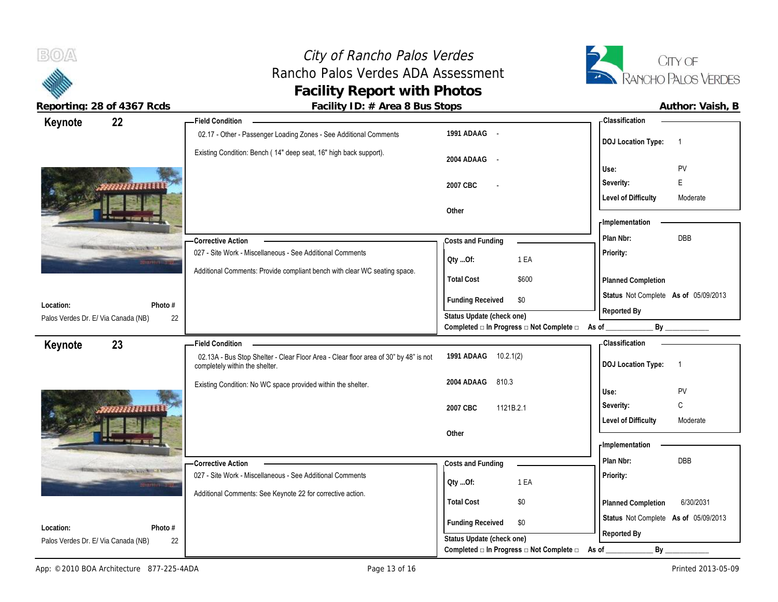# City of Rancho Palos Verdes Rancho Palos Verdes ADA Assessment **Facility Report with Photos**



**Reporting: 28 of 4367 Rcds Facility ID: # Area 8 Bus Stops** 

| Author: Vaish, B |  |
|------------------|--|
|                  |  |

| Keynote                             | 22                                | <b>Field Condition</b>                                                                                                 |                                                                                               | <b>Classification</b>                       |
|-------------------------------------|-----------------------------------|------------------------------------------------------------------------------------------------------------------------|-----------------------------------------------------------------------------------------------|---------------------------------------------|
|                                     |                                   | 02.17 - Other - Passenger Loading Zones - See Additional Comments                                                      | 1991 ADAAG -                                                                                  | <b>DOJ Location Type:</b><br>$\overline{1}$ |
|                                     |                                   | Existing Condition: Bench (14" deep seat, 16" high back support).                                                      | 2004 ADAAG -                                                                                  | Use:<br>PV                                  |
|                                     |                                   |                                                                                                                        |                                                                                               | E<br>Severity:                              |
|                                     | ,,,,,,,,,,,,,,,,,                 |                                                                                                                        | 2007 CBC                                                                                      | <b>Level of Difficulty</b><br>Moderate      |
|                                     |                                   |                                                                                                                        | Other                                                                                         |                                             |
|                                     | <b>THE THE PERSON WAS DIRET</b>   |                                                                                                                        |                                                                                               | - Implementation                            |
|                                     |                                   | -Corrective Action                                                                                                     | Costs and Funding                                                                             | DBB<br>Plan Nbr:                            |
|                                     | The South of American Autor Ville | 027 - Site Work - Miscellaneous - See Additional Comments                                                              | QtyOf:<br>1 EA                                                                                | Priority:                                   |
|                                     |                                   | Additional Comments: Provide compliant bench with clear WC seating space.                                              | <b>Total Cost</b><br>\$600                                                                    | Planned Completion                          |
|                                     |                                   |                                                                                                                        | <b>Funding Received</b><br>\$0                                                                | Status Not Complete As of 05/09/2013        |
| Location:                           | Photo #                           |                                                                                                                        |                                                                                               | Reported By                                 |
| Palos Verdes Dr. E/ Via Canada (NB) | 22                                |                                                                                                                        | Status Update (check one)<br>Completed □ In Progress □ Not Complete □ As of                   | $By$ <sub>——</sub>                          |
|                                     | 23                                | <b>Field Condition</b>                                                                                                 |                                                                                               | Classification                              |
| Keynote                             |                                   | 02.13A - Bus Stop Shelter - Clear Floor Area - Clear floor area of 30" by 48" is not<br>completely within the shelter. | 1991 ADAAG 10.2.1(2)                                                                          | <b>DOJ Location Type:</b><br>$\overline{1}$ |
|                                     |                                   |                                                                                                                        | 810.3                                                                                         |                                             |
|                                     |                                   | Existing Condition: No WC space provided within the shelter.                                                           | 2004 ADAAG                                                                                    | Use:<br>PV                                  |
|                                     |                                   |                                                                                                                        |                                                                                               | C<br>Severity:                              |
|                                     | ,,,,,,,,,,,,,,,,,,,,,,            |                                                                                                                        | 2007 CBC<br>1121B.2.1                                                                         | Moderate                                    |
|                                     |                                   |                                                                                                                        | Other                                                                                         | <b>Level of Difficulty</b>                  |
|                                     | of the second constraint that the |                                                                                                                        |                                                                                               | - Implementation                            |
|                                     |                                   | -Corrective Action                                                                                                     |                                                                                               | Plan Nbr:<br><b>DBB</b>                     |
|                                     | <b>NOUN ASSOCIATE AND CONTROL</b> | 027 - Site Work - Miscellaneous - See Additional Comments                                                              | Costs and Funding                                                                             | Priority:                                   |
|                                     |                                   |                                                                                                                        | 1 EA<br>Oty Of:                                                                               |                                             |
|                                     |                                   | Additional Comments: See Keynote 22 for corrective action.                                                             | <b>Total Cost</b><br>\$0                                                                      | 6/30/2031<br>Planned Completion             |
| Location:                           | Photo #                           |                                                                                                                        | <b>Funding Received</b><br>\$0                                                                | Status Not Complete As of 05/09/2013        |
| Palos Verdes Dr. E/ Via Canada (NB) | 22                                |                                                                                                                        | Status Update (check one)<br>Completed $\square$ In Progress $\square$ Not Complete $\square$ | Reported By<br>By                           |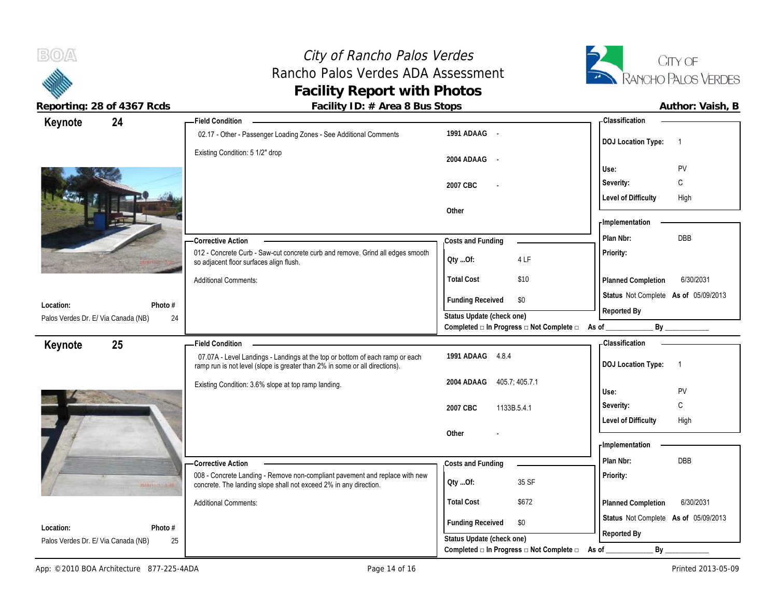

 $B(0)$ 

| r admiry TD. <i>II</i> Twica o Das Stops                    |                                                                                                                                           |
|-------------------------------------------------------------|-------------------------------------------------------------------------------------------------------------------------------------------|
|                                                             | - Classification                                                                                                                          |
| 1991 ADAAG -                                                | <b>DOJ Location Type:</b><br>$\overline{1}$                                                                                               |
| 2004 ADAAG -                                                |                                                                                                                                           |
|                                                             | PV<br>Use:                                                                                                                                |
| 2007 CBC                                                    | С<br>Severity:                                                                                                                            |
|                                                             | <b>Level of Difficulty</b><br>High                                                                                                        |
| Other                                                       |                                                                                                                                           |
|                                                             | - Implementation                                                                                                                          |
| Costs and Funding                                           | <b>DBB</b><br>Plan Nbr:                                                                                                                   |
| Oty Of:<br>4 LF                                             | Priority:                                                                                                                                 |
| \$10<br><b>Total Cost</b>                                   | Planned Completion<br>6/30/2031                                                                                                           |
| <b>Funding Received</b><br>\$0                              | Status Not Complete As of 05/09/2013                                                                                                      |
| Status Update (check one)                                   | Reported By                                                                                                                               |
|                                                             |                                                                                                                                           |
|                                                             | - Classification                                                                                                                          |
| 1991 ADAAG 4.8.4                                            | <b>DOJ Location Type:</b><br>$\overline{1}$                                                                                               |
|                                                             |                                                                                                                                           |
| 405.7, 405.7.1<br>2004 ADAAG                                |                                                                                                                                           |
|                                                             | PV<br>Use:                                                                                                                                |
| 2007 CBC<br>1133B.5.4.1                                     | С<br>Severity:                                                                                                                            |
|                                                             | <b>Level of Difficulty</b><br>High                                                                                                        |
| Other                                                       |                                                                                                                                           |
|                                                             | - Implementation                                                                                                                          |
| Costs and Funding                                           | DBB<br>Plan Nbr:                                                                                                                          |
| 35 SF<br>QtyOf:                                             | Priority:                                                                                                                                 |
| <b>Total Cost</b><br>\$672                                  | 6/30/2031<br>Planned Completion                                                                                                           |
|                                                             | Status Not Complete As of 05/09/2013                                                                                                      |
| <b>Funding Received</b><br>\$0<br>Status Update (check one) | Reported By                                                                                                                               |
|                                                             | 012 - Concrete Curb - Saw-cut concrete curb and remove. Grind all edges smooth<br>Completed □ In Progress □ Not Complete □ As of ________ |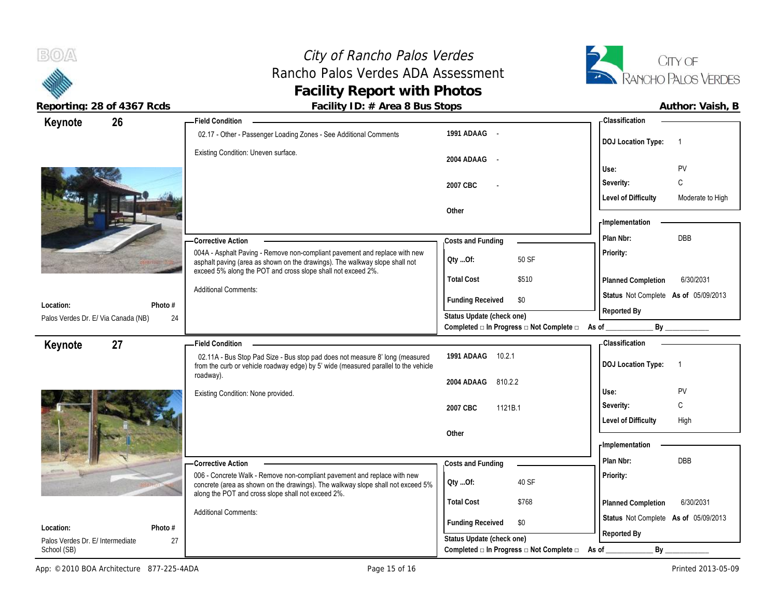

**BOA** 

| $\frac{1}{2}$                                   |         | <b>Example 1 D.</b> <i>II</i> And of Dus Stops                                                                                                                                                                            |                                                                                      | AULINI. VUIJII, D                              |
|-------------------------------------------------|---------|---------------------------------------------------------------------------------------------------------------------------------------------------------------------------------------------------------------------------|--------------------------------------------------------------------------------------|------------------------------------------------|
| 26<br>Keynote                                   |         | Field Condition ____                                                                                                                                                                                                      |                                                                                      | <b>Classification</b>                          |
|                                                 |         | 02.17 - Other - Passenger Loading Zones - See Additional Comments                                                                                                                                                         | 1991 ADAAG -                                                                         | <b>DOJ Location Type:</b>                      |
|                                                 |         | Existing Condition: Uneven surface.                                                                                                                                                                                       | 2004 ADAAG<br>$\sim$                                                                 |                                                |
|                                                 |         |                                                                                                                                                                                                                           |                                                                                      | <b>PV</b><br>Use:                              |
|                                                 |         |                                                                                                                                                                                                                           | 2007 CBC                                                                             | C<br>Severity:                                 |
|                                                 |         |                                                                                                                                                                                                                           |                                                                                      | <b>Level of Difficulty</b><br>Moderate to High |
|                                                 |         |                                                                                                                                                                                                                           | Other                                                                                | <b>Implementation</b>                          |
|                                                 |         |                                                                                                                                                                                                                           |                                                                                      |                                                |
|                                                 |         | <b>Corrective Action</b>                                                                                                                                                                                                  | Costs and Funding                                                                    | <b>DBB</b><br>Plan Nbr:                        |
|                                                 |         | 004A - Asphalt Paving - Remove non-compliant pavement and replace with new<br>asphalt paving (area as shown on the drawings). The walkway slope shall not<br>exceed 5% along the POT and cross slope shall not exceed 2%. | 50 SF<br>QtyOf:                                                                      | Priority:                                      |
|                                                 |         |                                                                                                                                                                                                                           | <b>Total Cost</b><br>\$510                                                           | 6/30/2031<br><b>Planned Completion</b>         |
| Location:                                       | Photo # | <b>Additional Comments:</b>                                                                                                                                                                                               | <b>Funding Received</b><br>\$0                                                       | Status Not Complete As of 05/09/2013           |
| Palos Verdes Dr. E/ Via Canada (NB)<br>24       |         |                                                                                                                                                                                                                           | Status Update (check one)                                                            | Reported By                                    |
|                                                 |         |                                                                                                                                                                                                                           | Completed □ In Progress □ Not Complete □ As of _________                             |                                                |
| Keynote<br>27                                   |         | Field Condition <b>Engineer Condition</b>                                                                                                                                                                                 |                                                                                      | <b>Classification</b>                          |
|                                                 |         | 02.11A - Bus Stop Pad Size - Bus stop pad does not measure 8' long (measured<br>from the curb or vehicle roadway edge) by 5' wide (measured parallel to the vehicle                                                       | 1991 ADAAG 10.2.1                                                                    | <b>DOJ Location Type:</b><br>$\overline{1}$    |
|                                                 |         | roadway).                                                                                                                                                                                                                 | 2004 ADAAG<br>810.2.2                                                                |                                                |
|                                                 |         | Existing Condition: None provided.                                                                                                                                                                                        |                                                                                      | PV<br>Use:                                     |
|                                                 |         |                                                                                                                                                                                                                           | 2007 CBC<br>1121B.1                                                                  | $\mathsf C$<br>Severity:                       |
|                                                 |         |                                                                                                                                                                                                                           |                                                                                      | <b>Level of Difficulty</b><br>High             |
|                                                 |         |                                                                                                                                                                                                                           | Other                                                                                |                                                |
|                                                 |         |                                                                                                                                                                                                                           |                                                                                      | - Implementation                               |
|                                                 |         |                                                                                                                                                                                                                           |                                                                                      |                                                |
|                                                 |         | <b>Corrective Action</b>                                                                                                                                                                                                  | Costs and Funding                                                                    | Plan Nbr:<br>DBB                               |
|                                                 |         | 006 - Concrete Walk - Remove non-compliant pavement and replace with new<br>concrete (area as shown on the drawings). The walkway slope shall not exceed 5%                                                               | 40 SF<br>Qty Of:                                                                     | Priority:                                      |
|                                                 |         | along the POT and cross slope shall not exceed 2%.                                                                                                                                                                        | <b>Total Cost</b><br>\$768                                                           | 6/30/2031<br>Planned Completion                |
|                                                 |         | <b>Additional Comments:</b>                                                                                                                                                                                               |                                                                                      |                                                |
| Location:                                       | Photo # |                                                                                                                                                                                                                           | <b>Funding Received</b><br>\$0                                                       | Status Not Complete As of 05/09/2013           |
| Palos Verdes Dr. E/ Intermediate<br>School (SB) | 27      |                                                                                                                                                                                                                           | Status Update (check one)<br>Completed $\Box$ In Progress $\Box$ Not Complete $\Box$ | Reported By<br>By<br>As of                     |